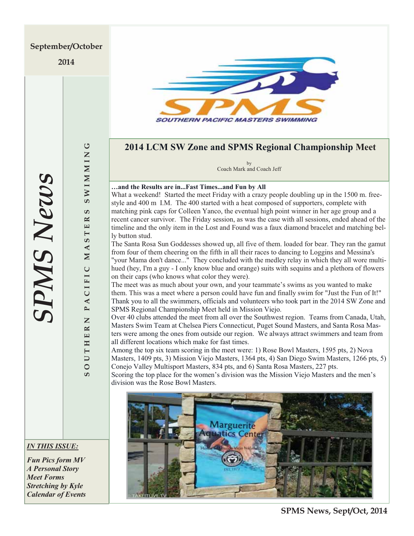### **September/October**

**2014** 



## **2014 LCM SW Zone and SPMS Regional Championship Meet**

by Coach Mark and Coach Jeff

### **…and the Results are in...Fast Times...and Fun by All**

What a weekend! Started the meet Friday with a crazy people doubling up in the 1500 m. freestyle and 400 m I.M. The 400 started with a heat composed of supporters, complete with matching pink caps for Colleen Yanco, the eventual high point winner in her age group and a recent cancer survivor. The Friday session, as was the case with all sessions, ended ahead of the timeline and the only item in the Lost and Found was a faux diamond bracelet and matching belly button stud.

The Santa Rosa Sun Goddesses showed up, all five of them. loaded for bear. They ran the gamut from four of them cheering on the fifth in all their races to dancing to Loggins and Messina's "your Mama don't dance..." They concluded with the medley relay in which they all wore multihued (hey, I'm a guy - I only know blue and orange) suits with sequins and a plethora of flowers on their caps (who knows what color they were).

The meet was as much about your own, and your teammate's swims as you wanted to make them. This was a meet where a person could have fun and finally swim for "Just the Fun of It!" Thank you to all the swimmers, officials and volunteers who took part in the 2014 SW Zone and SPMS Regional Championship Meet held in Mission Viejo.

Over 40 clubs attended the meet from all over the Southwest region. Teams from Canada, Utah, Masters Swim Team at Chelsea Piers Connecticut, Puget Sound Masters, and Santa Rosa Masters were among the ones from outside our region. We always attract swimmers and team from all different locations which make for fast times.

Among the top six team scoring in the meet were: 1) Rose Bowl Masters, 1595 pts, 2) Nova Masters, 1409 pts, 3) Mission Viejo Masters, 1364 pts, 4) San Diego Swim Masters, 1266 pts, 5) Conejo Valley Multisport Masters, 834 pts, and 6) Santa Rosa Masters, 227 pts.

Scoring the top place for the women's division was the Mission Viejo Masters and the men's division was the Rose Bowl Masters.



SPMS News *SPMS News*

**SOUTHERN PACIFIC MASTERS SWIMMING**

PACIFIC

UTHERN

 $\overline{\circ}$ 

U

**SWIMMIN** 

ശ  $\approx$  $\mathbf{\Xi}$  $\vdash$ ဖာ  $\blacktriangleleft$  $\mathbf{N}$ 

## *IN THIS ISSUE:*

*Fun Pics form MV A Personal Story Meet Forms Stretching by Kyle Calendar of Events* 

**SPMS News, Sept/Oct, 2014**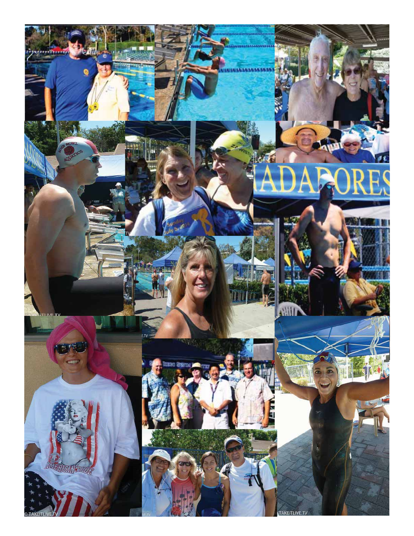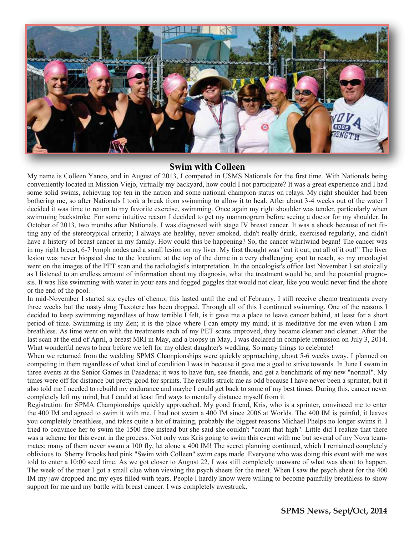

## **Swim with Colleen with Colleen**

My name is Colleen Yanco, and in August of 2013, I competed in USMS Nationals for the first time. With Nationals being conveniently located in Mission Viejo, virtually my backyard, how could I not participate? It was a great experience and I had some solid swims, achieving top ten in the nation and some national champion status on relays. My right shoulder had been bothering me, so after Nationals I took a break from swimming to allow it to heal. After about 3-4 weeks out of the water I decided it was time to return to my favorite exercise, swimming. Once again my right shoulder was tender, particularly when swimming backstroke. For some intuitive reason I decided to get my mammogram before seeing a doctor for my shoulder. In October of 2013, two months after Nationals, I was diagnosed with stage IV breast cancer. It was a shock because of not fitting any of the stereotypical criteria; I always ate healthy, never smoked, didn't really drink, exercised regularly, and didn't have a history of breast cancer in my family. How could this be happening? So, the cancer whirlwind began! The cancer was in my right breast, 6-7 lymph nodes and a small lesion on my liver. My first thought was "cut it out, cut all of it out!" The liver lesion was never biopsied due to the location, at the top of the dome in a very challenging spot to reach, so my oncologist went on the images of the PET scan and the radiologist's interpretation. In the oncologist's office last November I sat stoically as I listened to an endless amount of information about my diagnosis, what the treatment would be, and the potential prognosis. It was like swimming with water in your ears and fogged goggles that would not clear, like you would never find the shore or the end of the pool.

In mid-November I started six cycles of chemo; this lasted until the end of February. I still receive chemo treatments every three weeks but the nasty drug Taxotere has been dropped. Through all of this I continued swimming. One of the reasons I decided to keep swimming regardless of how terrible I felt, is it gave me a place to leave cancer behind, at least for a short period of time. Swimming is my Zen; it is the place where I can empty my mind; it is meditative for me even when I am breathless. As time went on with the treatments each of my PET scans improved, they became cleaner and cleaner. After the last scan at the end of April, a breast MRI in May, and a biopsy in May, I was declared in complete remission on July 3, 2014. What wonderful news to hear before we left for my oldest daughter's wedding. So many things to celebrate!

When we returned from the wedding SPMS Championships were quickly approaching, about 5-6 weeks away. I planned on competing in them regardless of what kind of condition I was in because it gave me a goal to strive towards. In June I swam in three events at the Senior Games in Pasadena; it was to have fun, see friends, and get a benchmark of my new "normal". My times were off for distance but pretty good for sprints. The results struck me as odd because I have never been a sprinter, but it also told me I needed to rebuild my endurance and maybe I could get back to some of my best times. During this, cancer never completely left my mind, but I could at least find ways to mentally distance myself from it.

Registration for SPMA Championships quickly approached. My good friend, Kris, who is a sprinter, convinced me to enter the 400 IM and agreed to swim it with me. I had not swam a 400 IM since 2006 at Worlds. The 400 IM is painful, it leaves you completely breathless, and takes quite a bit of training, probably the biggest reasons Michael Phelps no longer swims it. I tried to convince her to swim the 1500 free instead but she said she couldn't "count that high". Little did I realize that there was a scheme for this event in the process. Not only was Kris going to swim this event with me but several of my Nova teammates; many of them never swam a 100 fly, let alone a 400 IM! The secret planning continued, which I remained completely oblivious to. Sherry Brooks had pink "Swim with Colleen" swim caps made. Everyone who was doing this event with me was told to enter a 10:00 seed time. As we got closer to August 22, I was still completely unaware of what was about to happen. The week of the meet I got a small clue when viewing the psych sheets for the meet. When I saw the psych sheet for the 400 IM my jaw dropped and my eyes filled with tears. People I hardly know were willing to become painfully breathless to show support for me and my battle with breast cancer. I was completely awestruck.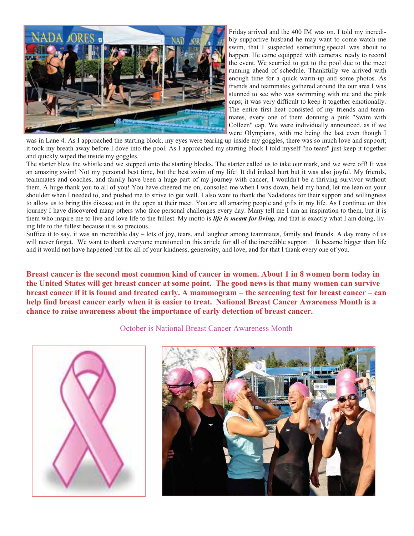

Friday arrived and the 400 IM was on. I told my incredibly supportive husband he may want to come watch me swim, that I suspected something special was about to happen. He came equipped with cameras, ready to record the event. We scurried to get to the pool due to the meet running ahead of schedule. Thankfully we arrived with enough time for a quick warm-up and some photos. As friends and teammates gathered around the our area I was stunned to see who was swimming with me and the pink caps; it was very difficult to keep it together emotionally. The entire first heat consisted of my friends and teammates, every one of them donning a pink "Swim with Colleen" cap. We were individually announced, as if we were Olympians, with me being the last even though I

was in Lane 4. As I approached the starting block, my eyes were tearing up inside my goggles, there was so much love and support; it took my breath away before I dove into the pool. As I approached my starting block I told myself "no tears" just keep it together and quickly wiped the inside my goggles.

The starter blew the whistle and we stepped onto the starting blocks. The starter called us to take our mark, and we were off! It was an amazing swim! Not my personal best time, but the best swim of my life! It did indeed hurt but it was also joyful. My friends, teammates and coaches, and family have been a huge part of my journey with cancer; I wouldn't be a thriving survivor without them. A huge thank you to all of you! You have cheered me on, consoled me when I was down, held my hand, let me lean on your shoulder when I needed to, and pushed me to strive to get well. I also want to thank the Nadadores for their support and willingness to allow us to bring this disease out in the open at their meet. You are all amazing people and gifts in my life. As I continue on this journey I have discovered many others who face personal challenges every day. Many tell me I am an inspiration to them, but it is them who inspire me to live and love life to the fullest. My motto is *life is meant for living,* and that is exactly what I am doing, living life to the fullest because it is so precious.

Suffice it to say, it was an incredible day – lots of joy, tears, and laughter among teammates, family and friends. A day many of us will never forget. We want to thank everyone mentioned in this article for all of the incredible support. It became bigger than life and it would not have happened but for all of your kindness, generosity, and love, and for that I thank every one of you.

**Breast cancer is the second most common kind of cancer in women. About 1 in 8 women born today in the United States will get breast cancer at some point. The good news is that many women can survive breast cancer if it is found and treated early. A mammogram – the screening test for breast cancer – can help find breast cancer early when it is easier to treat. National Breast Cancer Awareness Month is a chance to raise awareness about the importance of early detection of breast cancer.** 

### October is National Breast Cancer Awareness Month



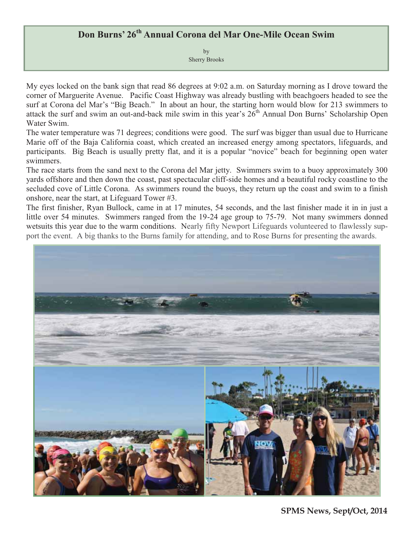# **Don Burns' 26th Annual Corona del Mar One-Mile Ocean Swim**

by Sherry Brooks

My eyes locked on the bank sign that read 86 degrees at 9:02 a.m. on Saturday morning as I drove toward the corner of Marguerite Avenue. Pacific Coast Highway was already bustling with beachgoers headed to see the surf at Corona del Mar's "Big Beach." In about an hour, the starting horn would blow for 213 swimmers to attack the surf and swim an out-and-back mile swim in this year's  $26<sup>th</sup>$  Annual Don Burns' Scholarship Open Water Swim.

The water temperature was 71 degrees; conditions were good. The surf was bigger than usual due to Hurricane Marie off of the Baja California coast, which created an increased energy among spectators, lifeguards, and participants. Big Beach is usually pretty flat, and it is a popular "novice" beach for beginning open water swimmers.

The race starts from the sand next to the Corona del Mar jetty. Swimmers swim to a buoy approximately 300 yards offshore and then down the coast, past spectacular cliff-side homes and a beautiful rocky coastline to the secluded cove of Little Corona. As swimmers round the buoys, they return up the coast and swim to a finish onshore, near the start, at Lifeguard Tower #3.

The first finisher, Ryan Bullock, came in at 17 minutes, 54 seconds, and the last finisher made it in in just a little over 54 minutes. Swimmers ranged from the 19-24 age group to 75-79. Not many swimmers donned wetsuits this year due to the warm conditions. Nearly fifty Newport Lifeguards volunteered to flawlessly support the event. A big thanks to the Burns family for attending, and to Rose Burns for presenting the awards.

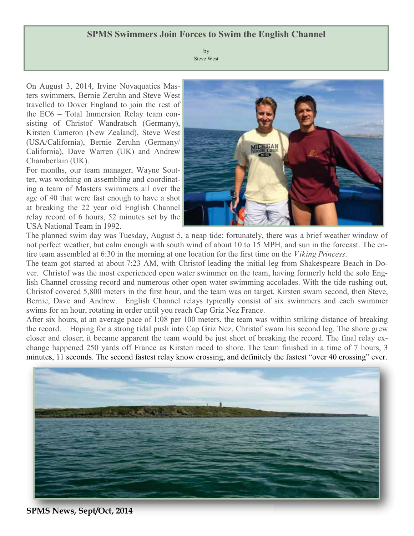## **SPMS Swimmers Join Forces to Swim the English Channel**

by Steve West

On August 3, 2014, Irvine Novaquatics Masters swimmers, Bernie Zeruhn and Steve West travelled to Dover England to join the rest of the EC6 – Total Immersion Relay team consisting of Christof Wandratsch (Germany), Kirsten Cameron (New Zealand), Steve West (USA/California), Bernie Zeruhn (Germany/ California), Dave Warren (UK) and Andrew Chamberlain (UK).

For months, our team manager, Wayne Soutter, was working on assembling and coordinating a team of Masters swimmers all over the age of 40 that were fast enough to have a shot at breaking the 22 year old English Channel relay record of 6 hours, 52 minutes set by the USA National Team in 1992.



The planned swim day was Tuesday, August 5, a neap tide; fortunately, there was a brief weather window of not perfect weather, but calm enough with south wind of about 10 to 15 MPH, and sun in the forecast. The entire team assembled at 6:30 in the morning at one location for the first time on the *Viking Princess*.

The team got started at about 7:23 AM, with Christof leading the initial leg from Shakespeare Beach in Dover. Christof was the most experienced open water swimmer on the team, having formerly held the solo English Channel crossing record and numerous other open water swimming accolades. With the tide rushing out, Christof covered 5,800 meters in the first hour, and the team was on target. Kirsten swam second, then Steve, Bernie, Dave and Andrew. English Channel relays typically consist of six swimmers and each swimmer swims for an hour, rotating in order until you reach Cap Griz Nez France.

After six hours, at an average pace of 1:08 per 100 meters, the team was within striking distance of breaking the record. Hoping for a strong tidal push into Cap Griz Nez, Christof swam his second leg. The shore grew closer and closer; it became apparent the team would be just short of breaking the record. The final relay exchange happened 250 yards off France as Kirsten raced to shore. The team finished in a time of 7 hours, 3 minutes, 11 seconds. The second fastest relay know crossing, and definitely the fastest "over 40 crossing" ever.



**SPMS News, Sept/Oct, 2014 2014**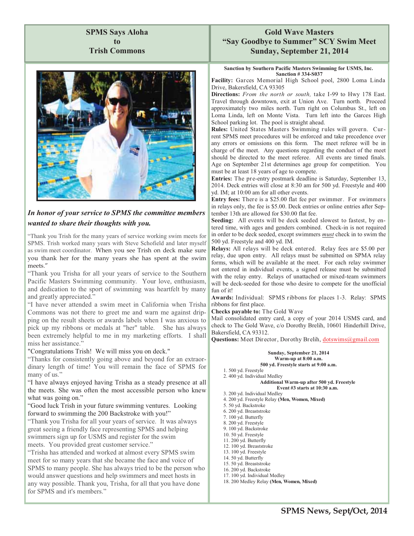### **SPMS Says Aloha to Trish Commons**



## *In honor of your service to SPMS the committee members wanted to share their thoughts with you.*

"Thank you Trish for the many years of service working swim meets for SPMS. Trish worked many years with Steve Schofield and later myself as swim meet coordinator. When you see Trish on deck make sure you thank her for the many years she has spent at the swim meets."

"Thank you Trisha for all your years of service to the Southern Pacific Masters Swimming community. Your love, enthusiasm, and dedication to the sport of swimming was heartfelt by many and greatly appreciated."

"I have never attended a swim meet in California when Trisha Commons was not there to greet me and warn me against dripping on the result sheets or awards labels when I was anxious to pick up my ribbons or medals at "her" table. She has always been extremely helpful to me in my marketing efforts. I shall miss her assistance."

"Congratulations Trish! We will miss you on deck."

"Thanks for consistently going above and beyond for an extraordinary length of time! You will remain the face of SPMS for many of us."

"I have always enjoyed having Trisha as a steady presence at all the meets. She was often the most accessible person who knew what was going on."

"Good luck Trish in your future swimming ventures. Looking forward to swimming the 200 Backstroke with you!"

"Thank you Trisha for all your years of service. It was always great seeing a friendly face representing SPMS and helping swimmers sign up for USMS and register for the swim meets. You provided great customer service."

"Trisha has attended and worked at almost every SPMS swim meet for so many years that she became the face and voice of SPMS to many people. She has always tried to be the person who would answer questions and help swimmers and meet hosts in any way possible. Thank you, Trisha, for all that you have done for SPMS and it's members."

## **Gold Wave Masters "Say Goodbye to Summer" SCY Swim Meet Sunday, September 21, 2014**

**Sanction by Southern Pacific Masters Swimming for USMS, Inc. Sanction # 334-S037** 

**Facility:** Garces Memorial High School pool, 2800 Loma Linda Drive, Bakersfield, CA 93305

**Directions:** *From the north or south,* take I-99 to Hwy 178 East. Travel through downtown, exit at Union Ave. Turn north. Proceed approximately two miles north. Turn right on Columbus St., left on Loma Linda, left on Monte Vista. Turn left into the Garces High School parking lot. The pool is straight ahead.

**Rules:** United States Masters Swimming rules will govern. Current SPMS meet procedures will be enforced and take precedence over any errors or omissions on this form. The meet referee will be in charge of the meet. Any questions regarding the conduct of the meet should be directed to the meet referee. All events are timed finals. Age on September 21st determines age group for competition. You must be at least 18 years of age to compete.

**Entries:** The pre-entry postmark deadline is Saturday, September 13, 2014. Deck entries will close at 8:30 am for 500 yd. Freestyle and 400 yd. IM; at 10:00 am for all other events.

**Entry fees:** There is a \$25.00 flat fee per swimmer. For swimmers in relays only, the fee is \$5.00. Deck entries or online entries after September 13th are allowed for \$30.00 flat fee.

**Seeding:** All events will be deck seeded slowest to fastest, by entered time, with ages and genders combined. Check-in is not required in order to be deck seeded, except swimmers *must* check in to swim the 500 yd. Freestyle and 400 yd. IM.

**Relays:** All relays will be deck entered. Relay fees are \$5.00 per relay, due upon entry. All relays must be submitted on SPMA relay forms, which will be available at the meet. For each relay swimmer not entered in individual events, a signed release must be submitted with the relay entry. Relays of unattached or mixed-team swimmers will be deck-seeded for those who desire to compete for the unofficial fun of it!

**Awards:** Individual: SPMS ribbons for places 1-3. Relay: SPMS ribbons for first place.

**Checks payable to:** The Gold Wave

Mail consolidated entry card, a copy of your 2014 USMS card, and check to The Gold Wave, c/o Dorothy Brelih, 10601 Hinderhill Drive, Bakersfield, CA 93312.

**Questions:** Meet Director, Dorothy Brelih, dotswims@gmail.com

#### **Sunday, September 21, 2014 Warm-up at 8:00 a.m. 500 yd. Freestyle starts at 9:00 a.m.**

1. 500 yd. Freestyle

2. 400 yd. Individual Medley **Additional Warm-up after 500 yd. Freestyle Event #3 starts at 10:30 a.m.** 

- 3. 200 yd. Individual Medley
- 4. 200 yd. Freestyle Relay **(Men, Women, Mixed)**

5. 50 yd. Backstroke

- 6. 200 yd. Breaststroke
- 7. 100 yd. Butterfly
- 8. 200 yd. Freestyle
- 9. 100 yd. Backstroke
- 10. 50 yd. Freestyle
- 11. 200 yd. Butterfly 12. 100 yd. Breaststroke
- 13. 100 yd. Freestyle
- 14. 50 yd. Butterfly
- 15. 50 yd. Breaststroke
- 16. 200 yd. Backstroke
- 17. 100 yd. Individual Medley
- 18. 200 Medley Relay **(Men, Women, Mixed)**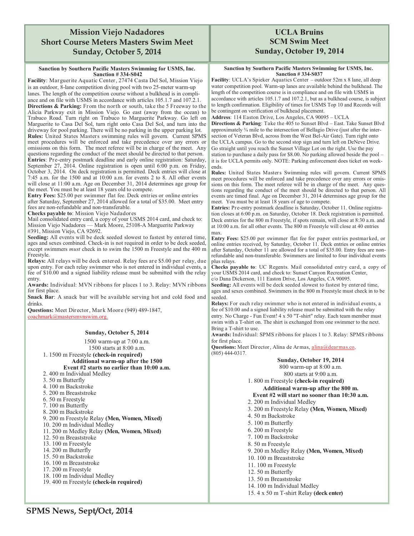## **Mission Viejo Nadadores Short Course Meters Masters Swim Meet Sunday, October 5, 2014**

#### **Sanction by Southern Pacific Masters Swimming for USMS, Inc. Sanction # 334-S042**

**Facility**: Marguerite Aquatic Center, 27474 Casta Del Sol, Mission Viejo is an outdoor, 8-lane competition diving pool with two 25-meter warm-up lanes. The length of the competition course without a bulkhead is in compliance and on file with USMS in accordance with articles 105.1.7 and 107.2.1. **Directions & Parking:** From the north or south, take the 5 Freeway to the Alicia Parkway exit in Mission Viejo. Go east (away from the ocean) to Trabuco Road. Turn right on Trabuco to Marguerite Parkway. Go left on Marguerite to Casa Del Sol, turn right onto Casa Del Sol, and turn into the driveway for pool parking. There will be no parking in the upper parking lot. **Rules:** United States Masters swimming rules will govern. Current SPMS meet procedures will be enforced and take precedence over any errors or omissions on this form. The meet referee will be in charge of the meet. Any questions regarding the conduct of the meet should be directed to that person. **Entries**: Pre-entry postmark deadline and early online registration: Saturday, September 27, 2014. Online registration is open until 6:00 p.m. on Friday, October 3, 2014. On deck registration is permitted. Deck entries will close at 7:45 a.m. for the 1500 and at 10:00 a.m. for events 2 to 8. All other events

will close at 11:00 a.m. Age on December 31, 2014 determines age group for the meet. You must be at least 18 years old to compete. **Entry Fees:** \$25.00 per swimmer flat fee. Deck entries or online entries

after Saturday, September 27, 2014 allowed for a total of \$35.00. Meet entry fees are non-refundable and non-transferable.

**Checks payable to**: Mission Viejo Nadadores

Mail consolidated entry card, a copy of your USMS 2014 card, and check to: Mission Viejo Nadadores — Mark Moore, 25108-A Marguerite Parkway #391, Mission Viejo, CA 92692.

**Seeding:** All events will be deck seeded slowest to fastest by entered time, ages and sexes combined. Check-in is not required in order to be deck seeded, except swimmers *must* check in to swim the 1500 m Freestyle and the 400 m Freestyle.

**Relays:** All relays will be deck entered. Relay fees are \$5.00 per relay, due upon entry. For each relay swimmer who is not entered in individual events, a fee of \$10.00 and a signed liability release must be submitted with the relay entry.

**Awards:** Individual: MVN ribbons for places 1 to 3. Relay: MVN ribbons for first place.

**Snack Bar**: A snack bar will be available serving hot and cold food and drinks.

**Questions:** Meet Director, Mark Moore (949) 489-1847, coachmark@mastersmvnswim.org.

#### **Sunday, October 5, 2014**

1500 warm-up at 7:00 a.m.

1500 starts at 8:00 a.m.

1. 1500 m Freestyle **(check-in required) Additional warm-up after the 1500** 

**Event #2 starts no earlier than 10:00 a.m.** 

- 2. 400 m Individual Medley
- 3. 50 m Butterfly
- 4. 100 m Backstroke
- 5. 200 m Breaststroke
- 6. 50 m Freestyle
- 7. 100 m Butterfly
- 8. 200 m Backstroke
- 9. 200 m Freestyle Relay **(Men, Women, Mixed)**
- 10. 200 m Individual Medley
- 11. 200 m Medley Relay **(Men, Women, Mixed)**
- 12. 50 m Breaststroke
- 13. 100 m Freestyle
- 14. 200 m Butterfly
- 15. 50 m Backstroke
- 16. 100 m Breaststroke
- 17. 200 m Freestyle
- 18. 100 m Individual Medley
- 19. 400 m Freestyle **(check-in required)**

## **UCLA Bruins SCM Swim Meet Sunday, October 19, 2014**

#### **Sanction by Southern Pacific Masters Swimming for USMS, Inc. Sanction # 334-S037**

**Facility**: UCLA's Spieker Aquatics Center – outdoor 52m x 8 lane, all deep water competition pool. Warm-up lanes are available behind the bulkhead. The length of the competition course is in compliance and on file with USMS in accordance with articles 105.1.7 and 107.2.1, but as a bulkhead course, is subject to length confirmation. Eligibility of times for USMS Top 10 and Records will be contingent on verification of bulkhead placement.

**Address**: 114 Easton Drive, Los Angeles, CA 90095 – UCLA

**Directions & Parking**: Take the 405 to Sunset Blvd – East. Take Sunset Blvd approximately ¾ mile to the intersection of Bellagio Drive (just after the intersection of Veteran Blvd, across from the West Bel-Air Gate). Turn right onto the UCLA campus. Go to the second stop sign and turn left on DeNeve Drive. Go straight until you reach the Sunset Village Lot on the right. Use the pay station to purchase a daily pass for \$8.00. No parking allowed beside the pool – it is for UCLA permits only. NOTE: Parking enforcement does ticket on weekends.

**Rules:** United States Masters Swimming rules will govern. Current SPMS meet procedures will be enforced and take precedence over any errors or omissions on this form. The meet referee will be in charge of the meet. Any questions regarding the conduct of the meet should be directed to that person. All events are timed final. Age on December 31, 2014 determines age group for the meet. You must be at least 18 years of age to compete.

**Entries:** Pre-entry postmark deadline is Saturday, October 11. Online registration closes at 6:00 p.m. on Saturday, October 18. Deck registration is permitted. Deck entries for the 800 m Freestyle, if spots remain, will close at 8:30 a.m. and at 10:00 a.m. for all other events. The 800 m Freestyle will close at 40 entries max.

**Entry Fees:** \$25.00 per swimmer flat fee for paper entries postmar ked, or online entries received, by Saturday, October 11. Deck entries or online entries after Saturday, October 11 are allowed for a total of \$35.00. Entry fees are nonrefundable and non-transferable. Swimmers are limited to four individual events plus relays.

**Checks payable to**: UC Regents. Mail consolidated entry card, a copy of your USMS 2014 card, and check to: Sunset Canyon Recreation Center, c/o Dana Dickerson, 111 Easton Drive, Los Angeles, CA 90095.

**Seeding:** All events will be deck seeded slowest to fastest by entered time, ages and sexes combined. Swimmers in the 800 m Freestyle must check in to be seeded.

**Relays:** For each relay swimmer who is not entered in individual events, a fee of \$10.00 and a signed liability release must be submitted with the relay entry. No Charge - Fun Event! 4 x 50 "T-shirt" relay. Each team member must swim with a T-shirt on. The shirt is exchanged from one swimmer to the next. Bring a T-shirt to use.

**Awards:** Individual: SPMS ribbons for places 1 to 3. Relay: SPMS ribbons for first place.

**Questions:** Meet Director, Alina de Armas, alina@dearmas.co, (805) 444-0317.

**Sunday, October 19, 2014** 

800 warm-up at 8:00 a.m. 800 starts at 9:00 a.m.

1. 800 m Freestyle **(check-in required) Additional warm-up after the 800 m. Event #2 will start no sooner than 10:30 a.m.**  2. 200 m Individual Medley 3. 200 m Freestyle Relay **(Men, Women, Mixed)**  4. 50 m Backstroke 5. 100 m Butterfly 6. 200 m Freestyle 7. 100 m Backstroke 8. 50 m Freestyle 9. 200 m Medley Relay **(Men, Women, Mixed)**  10. 100 m Breaststroke 11. 100 m Freestyle

- 12. 50 m Butterfly
- 13. 50 m Breaststroke
- 14. 100 m Individual Medley
- 15. 4 x 50 m T-shirt Relay **(deck enter)**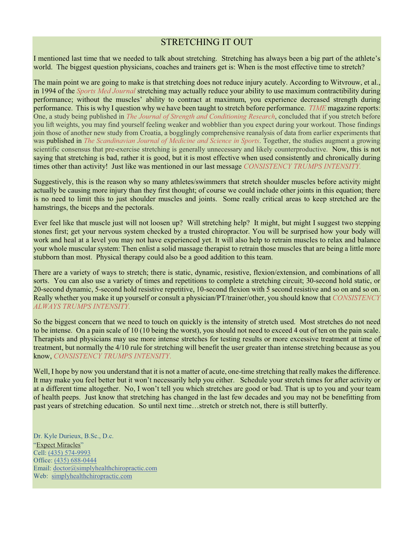## STRETCHING IT OUT

I mentioned last time that we needed to talk about stretching. Stretching has always been a big part of the athlete's world. The biggest question physicians, coaches and trainers get is: When is the most effective time to stretch?

The main point we are going to make is that stretching does not reduce injury acutely. According to Witvrouw, et al., in 1994 of the *Sports Med Journal* stretching may actually reduce your ability to use maximum contractibility during performance; without the muscles' ability to contract at maximum, you experience decreased strength during performance. This is why I question why we have been taught to stretch before performance. *TIME* magazine reports: One, a study being published in *The Journal of Strength and Conditioning Research*, concluded that if you stretch before you lift weights, you may find yourself feeling weaker and wobblier than you expect during your workout. Those findings join those of another new study from Croatia, a bogglingly comprehensive reanalysis of data from earlier experiments that was published in *The Scandinavian Journal of Medicine and Science in Sports*. Together, the studies augment a growing scientific consensus that pre-exercise stretching is generally unnecessary and likely counterproductive. Now, this is not saying that stretching is bad, rather it is good, but it is most effective when used consistently and chronically during times other than activity! Just like was mentioned in our last message *CONSISTENCY TRUMPS INTENSITY.*

Suggestively, this is the reason why so many athletes/swimmers that stretch shoulder muscles before activity might actually be causing more injury than they first thought; of course we could include other joints in this equation; there is no need to limit this to just shoulder muscles and joints. Some really critical areas to keep stretched are the hamstrings, the biceps and the pectorals.

Ever feel like that muscle just will not loosen up? Will stretching help? It might, but might I suggest two stepping stones first; get your nervous system checked by a trusted chiropractor. You will be surprised how your body will work and heal at a level you may not have experienced yet. It will also help to retrain muscles to relax and balance your whole muscular system: Then enlist a solid massage therapist to retrain those muscles that are being a little more stubborn than most. Physical therapy could also be a good addition to this team.

There are a variety of ways to stretch; there is static, dynamic, resistive, flexion/extension, and combinations of all sorts. You can also use a variety of times and repetitions to complete a stretching circuit; 30-second hold static, or 20-second dynamic, 5-second hold resistive repetitive, 10-second flexion with 5 second resistive and so on and so on. Really whether you make it up yourself or consult a physician/PT/trainer/other, you should know that *CONSISTENCY ALWAYS TRUMPS INTENSITY.*

So the biggest concern that we need to touch on quickly is the intensity of stretch used. Most stretches do not need to be intense. On a pain scale of 10 (10 being the worst), you should not need to exceed 4 out of ten on the pain scale. Therapists and physicians may use more intense stretches for testing results or more excessive treatment at time of treatment, but normally the 4/10 rule for stretching will benefit the user greater than intense stretching because as you know, *CONSISTENCY TRUMPS INTENSITY*.

Well, I hope by now you understand that it is not a matter of acute, one-time stretching that really makes the difference. It may make you feel better but it won't necessarily help you either. Schedule your stretch times for after activity or at a different time altogether. No, I won't tell you which stretches are good or bad. That is up to you and your team of health peeps. Just know that stretching has changed in the last few decades and you may not be benefitting from past years of stretching education. So until next time…stretch or stretch not, there is still butterfly.

Dr. Kyle Durieux, B.Sc., D.c. "Expect Miracles" Cell: (435) 574-9993 Office: (435) 688-0444 Email: doctor@simplyhealthchiropractic.com Web: simplyhealthchiropractic.com